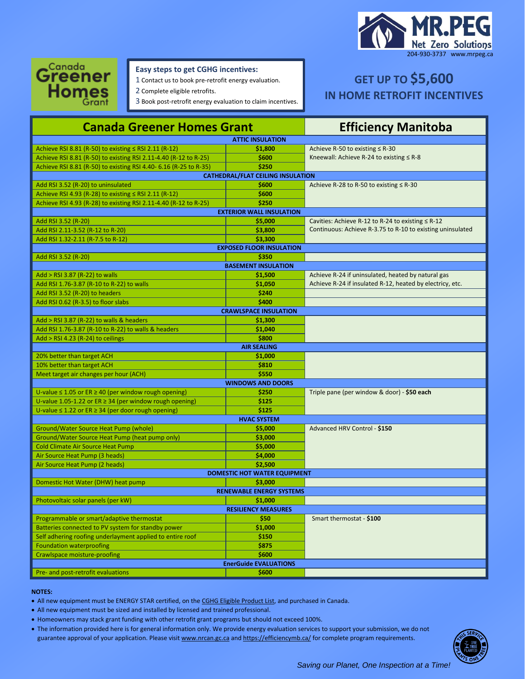



## **Easy steps to get CGHG incentives:**

1 Contact us to book pre-retrofit energy evaluation.

2 Complete eligible retrofits.

3 Book post-retrofit energy evaluation to claim incentives.

# **GET UP TO \$5,600 IN HOME RETROFIT INCENTIVES**

| <b>Canada Greener Homes Grant</b>                                |                                     | <b>Efficiency Manitoba</b>                                 |  |  |
|------------------------------------------------------------------|-------------------------------------|------------------------------------------------------------|--|--|
| <b>ATTIC INSULATION</b>                                          |                                     |                                                            |  |  |
| Achieve RSI 8.81 (R-50) to existing $\leq$ RSI 2.11 (R-12)       | \$1,800                             | Achieve R-50 to existing ≤ R-30                            |  |  |
| Achieve RSI 8.81 (R-50) to existing RSI 2.11-4.40 (R-12 to R-25) | \$600                               | Kneewall: Achieve R-24 to existing $\leq$ R-8              |  |  |
| Achieve RSI 8.81 (R-50) to existing RSI 4.40-6.16 (R-25 to R-35) | \$250                               |                                                            |  |  |
| <b>CATHEDRAL/FLAT CEILING INSULATION</b>                         |                                     |                                                            |  |  |
| Add RSI 3.52 (R-20) to uninsulated                               | \$600                               | Achieve R-28 to R-50 to existing $\leq$ R-30               |  |  |
| Achieve RSI 4.93 (R-28) to existing ≤ RSI 2.11 (R-12)            | \$600                               |                                                            |  |  |
| Achieve RSI 4.93 (R-28) to existing RSI 2.11-4.40 (R-12 to R-25) | \$250                               |                                                            |  |  |
| <b>EXTERIOR WALL INSULATION</b>                                  |                                     |                                                            |  |  |
| Add RSI 3.52 (R-20)                                              | \$5,000                             | Cavities: Achieve R-12 to R-24 to existing $\leq$ R-12     |  |  |
| Add RSI 2.11-3.52 (R-12 to R-20)                                 | \$3,800                             | Continuous: Achieve R-3.75 to R-10 to existing uninsulated |  |  |
| Add RSI 1.32-2.11 (R-7.5 to R-12)                                | \$3,300                             |                                                            |  |  |
|                                                                  | <b>EXPOSED FLOOR INSULATION</b>     |                                                            |  |  |
| Add RSI 3.52 (R-20)                                              | \$350                               |                                                            |  |  |
| <b>BASEMENT INSULATION</b>                                       |                                     |                                                            |  |  |
| Add > RSI 3.87 (R-22) to walls                                   | \$1,500                             | Achieve R-24 if uninsulated, heated by natural gas         |  |  |
| Add RSI 1.76-3.87 (R-10 to R-22) to walls                        | \$1,050                             | Achieve R-24 if insulated R-12, heated by electricy, etc.  |  |  |
| Add RSI 3.52 (R-20) to headers                                   | \$240                               |                                                            |  |  |
| Add RSI 0.62 (R-3.5) to floor slabs                              | \$400                               |                                                            |  |  |
|                                                                  | <b>CRAWLSPACE INSULATION</b>        |                                                            |  |  |
| Add > RSI 3.87 (R-22) to walls & headers<br>\$1.300              |                                     |                                                            |  |  |
| Add RSI 1.76-3.87 (R-10 to R-22) to walls & headers              | \$1,040                             |                                                            |  |  |
|                                                                  | \$800                               |                                                            |  |  |
| Add > RSI 4.23 (R-24) to ceilings                                | <b>AIR SEALING</b>                  |                                                            |  |  |
| 20% better than target ACH                                       |                                     |                                                            |  |  |
|                                                                  | \$1,000<br>\$810                    |                                                            |  |  |
| 10% better than target ACH                                       | \$550                               |                                                            |  |  |
| Meet target air changes per hour (ACH)                           |                                     |                                                            |  |  |
|                                                                  | <b>WINDOWS AND DOORS</b>            |                                                            |  |  |
| U-value $\leq$ 1.05 or ER $\geq$ 40 (per window rough opening)   | \$250                               | Triple pane (per window & door) - \$50 each                |  |  |
| U-value 1.05-1.22 or $ER \geq 34$ (per window rough opening)     | \$125                               |                                                            |  |  |
| U-value $\leq$ 1.22 or ER $\geq$ 34 (per door rough opening)     | \$125                               |                                                            |  |  |
|                                                                  | <b>HVAC SYSTEM</b>                  |                                                            |  |  |
| Ground/Water Source Heat Pump (whole)                            | \$5,000                             | Advanced HRV Control - \$150                               |  |  |
| Ground/Water Source Heat Pump (heat pump only)                   | \$3,000                             |                                                            |  |  |
| <b>Cold Climate Air Source Heat Pump</b>                         | \$5,000                             |                                                            |  |  |
| Air Source Heat Pump (3 heads)                                   | \$4,000                             |                                                            |  |  |
| Air Source Heat Pump (2 heads)                                   | \$2,500                             |                                                            |  |  |
|                                                                  | <b>DOMESTIC HOT WATER EQUIPMENT</b> |                                                            |  |  |
| Domestic Hot Water (DHW) heat pump<br>\$3,000                    |                                     |                                                            |  |  |
|                                                                  | <b>RENEWABLE ENERGY SYSTEMS</b>     |                                                            |  |  |
| Photovoltaic solar panels (per kW)<br>\$1,000                    |                                     |                                                            |  |  |
| <b>RESILIENCY MEASURES</b>                                       |                                     |                                                            |  |  |
| Programmable or smart/adaptive thermostat                        | \$50                                | Smart thermostat - \$100                                   |  |  |
| Batteries connected to PV system for standby power               | \$1,000                             |                                                            |  |  |
| Self adhering roofing underlayment applied to entire roof        | \$150                               |                                                            |  |  |
| <b>Foundation waterproofing</b>                                  | \$875                               |                                                            |  |  |
| <b>Crawlspace moisture-proofing</b>                              | \$600                               |                                                            |  |  |
| <b>EnerGuide EVALUATIONS</b>                                     |                                     |                                                            |  |  |
| Pre- and post-retrofit evaluations                               | \$600                               |                                                            |  |  |

#### **NOTES:**

• All new equipment must be ENERGY STAR certified, on th[e CGHG Eligible Product List,](https://oee.nrcan.gc.ca/pml-lmp/index.cfm?action=app.welcome-bienvenue) and purchased in Canada.

• All new equipment must be sized and installed by licensed and trained professional.

- Homeowners may stack grant funding with other retrofit grant programs but should not exceed 100%.
- The information provided here is for general information only. We provide energy evaluation services to support your submission, we do not guarantee approval of your application. Please visi[t www.nrcan.gc.ca](http://www.nrcan.gc.ca/) an[d https://efficiencymb.ca/](https://efficiencymb.ca/) for complete program requirements.